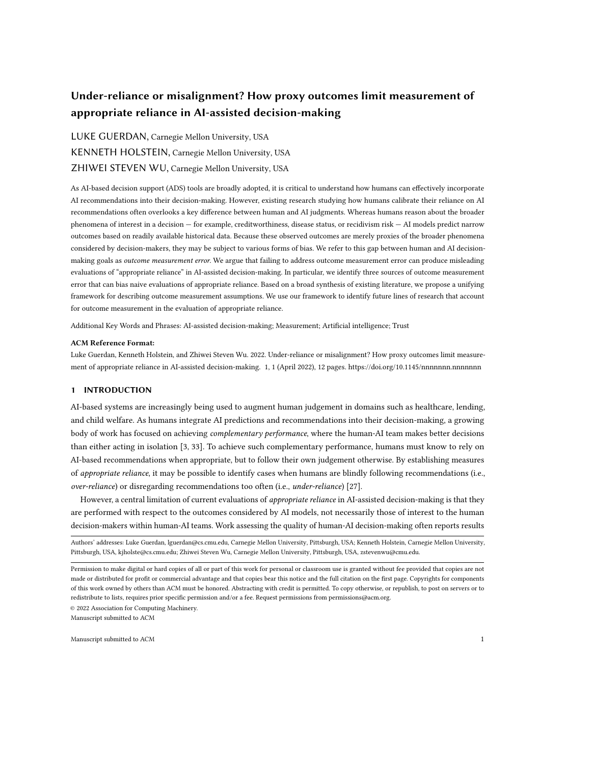# Under-reliance or misalignment? How proxy outcomes limit measurement of appropriate reliance in AI-assisted decision-making

# LUKE GUERDAN, Carnegie Mellon University, USA KENNETH HOLSTEIN, Carnegie Mellon University, USA ZHIWEI STEVEN WU, Carnegie Mellon University, USA

As AI-based decision support (ADS) tools are broadly adopted, it is critical to understand how humans can effectively incorporate AI recommendations into their decision-making. However, existing research studying how humans calibrate their reliance on AI recommendations often overlooks a key difference between human and AI judgments. Whereas humans reason about the broader phenomena of interest in a decision — for example, creditworthiness, disease status, or recidivism risk — AI models predict narrow outcomes based on readily available historical data. Because these observed outcomes are merely proxies of the broader phenomena considered by decision-makers, they may be subject to various forms of bias. We refer to this gap between human and AI decisionmaking goals as outcome measurement error. We argue that failing to address outcome measurement error can produce misleading evaluations of "appropriate reliance" in AI-assisted decision-making. In particular, we identify three sources of outcome measurement error that can bias naive evaluations of appropriate reliance. Based on a broad synthesis of existing literature, we propose a unifying framework for describing outcome measurement assumptions. We use our framework to identify future lines of research that account for outcome measurement in the evaluation of appropriate reliance.

Additional Key Words and Phrases: AI-assisted decision-making; Measurement; Artificial intelligence; Trust

#### ACM Reference Format:

Luke Guerdan, Kenneth Holstein, and Zhiwei Steven Wu. 2022. Under-reliance or misalignment? How proxy outcomes limit measurement of appropriate reliance in AI-assisted decision-making. 1, 1 (April 2022), [12](#page-11-0) pages.<https://doi.org/10.1145/nnnnnnn.nnnnnnn>

# 1 INTRODUCTION

AI-based systems are increasingly being used to augment human judgement in domains such as healthcare, lending, and child welfare. As humans integrate AI predictions and recommendations into their decision-making, a growing body of work has focused on achieving *complementary performance*, where the human-AI team makes better decisions than either acting in isolation [\[3,](#page-10-0) [33\]](#page-11-1). To achieve such complementary performance, humans must know to rely on AI-based recommendations when appropriate, but to follow their own judgement otherwise. By establishing measures of appropriate reliance, it may be possible to identify cases when humans are blindly following recommendations (i.e., over-reliance) or disregarding recommendations too often (i.e., under-reliance) [\[27\]](#page-11-2).

However, a central limitation of current evaluations of *appropriate reliance* in AI-assisted decision-making is that they are performed with respect to the outcomes considered by AI models, not necessarily those of interest to the human decision-makers within human-AI teams. Work assessing the quality of human-AI decision-making often reports results

Authors' addresses: Luke Guerdan, lguerdan@cs.cmu.edu, Carnegie Mellon University, Pittsburgh, USA; Kenneth Holstein, Carnegie Mellon University, Pittsburgh, USA, kjholste@cs.cmu.edu; Zhiwei Steven Wu, Carnegie Mellon University, Pittsburgh, USA, zstevenwu@cmu.edu.

© 2022 Association for Computing Machinery.

Permission to make digital or hard copies of all or part of this work for personal or classroom use is granted without fee provided that copies are not made or distributed for profit or commercial advantage and that copies bear this notice and the full citation on the first page. Copyrights for components of this work owned by others than ACM must be honored. Abstracting with credit is permitted. To copy otherwise, or republish, to post on servers or to redistribute to lists, requires prior specific permission and/or a fee. Request permissions from permissions@acm.org.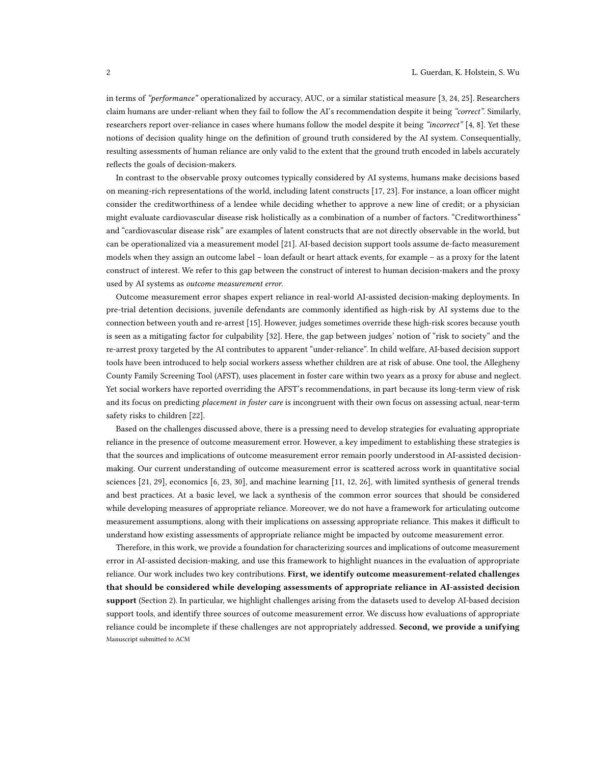in terms of "performance" operationalized by accuracy, AUC, or a similar statistical measure [\[3,](#page-10-0) [24,](#page-10-1) [25\]](#page-10-2). Researchers claim humans are under-reliant when they fail to follow the AI's recommendation despite it being "correct". Similarly, researchers report over-reliance in cases where humans follow the model despite it being "incorrect" [\[4,](#page-10-3) [8\]](#page-10-4). Yet these notions of decision quality hinge on the definition of ground truth considered by the AI system. Consequentially, resulting assessments of human reliance are only valid to the extent that the ground truth encoded in labels accurately reflects the goals of decision-makers.

In contrast to the observable proxy outcomes typically considered by AI systems, humans make decisions based on meaning-rich representations of the world, including latent constructs [\[17,](#page-10-5) [23\]](#page-10-6). For instance, a loan officer might consider the creditworthiness of a lendee while deciding whether to approve a new line of credit; or a physician might evaluate cardiovascular disease risk holistically as a combination of a number of factors. "Creditworthiness" and "cardiovascular disease risk" are examples of latent constructs that are not directly observable in the world, but can be operationalized via a measurement model [\[21\]](#page-10-7). AI-based decision support tools assume de-facto measurement models when they assign an outcome label – loan default or heart attack events, for example – as a proxy for the latent construct of interest. We refer to this gap between the construct of interest to human decision-makers and the proxy used by AI systems as outcome measurement error.

Outcome measurement error shapes expert reliance in real-world AI-assisted decision-making deployments. In pre-trial detention decisions, juvenile defendants are commonly identified as high-risk by AI systems due to the connection between youth and re-arrest [\[15\]](#page-10-8). However, judges sometimes override these high-risk scores because youth is seen as a mitigating factor for culpability [\[32\]](#page-11-3). Here, the gap between judges' notion of "risk to society" and the re-arrest proxy targeted by the AI contributes to apparent "under-reliance". In child welfare, AI-based decision support tools have been introduced to help social workers assess whether children are at risk of abuse. One tool, the Allegheny County Family Screening Tool (AFST), uses placement in foster care within two years as a proxy for abuse and neglect. Yet social workers have reported overriding the AFST's recommendations, in part because its long-term view of risk and its focus on predicting placement in foster care is incongruent with their own focus on assessing actual, near-term safety risks to children [\[22\]](#page-10-9).

Based on the challenges discussed above, there is a pressing need to develop strategies for evaluating appropriate reliance in the presence of outcome measurement error. However, a key impediment to establishing these strategies is that the sources and implications of outcome measurement error remain poorly understood in AI-assisted decisionmaking. Our current understanding of outcome measurement error is scattered across work in quantitative social sciences [\[21,](#page-10-7) [29\]](#page-11-4), economics [\[6,](#page-10-10) [23,](#page-10-6) [30\]](#page-11-5), and machine learning [\[11,](#page-10-11) [12,](#page-10-12) [26\]](#page-10-13), with limited synthesis of general trends and best practices. At a basic level, we lack a synthesis of the common error sources that should be considered while developing measures of appropriate reliance. Moreover, we do not have a framework for articulating outcome measurement assumptions, along with their implications on assessing appropriate reliance. This makes it difficult to understand how existing assessments of appropriate reliance might be impacted by outcome measurement error.

Therefore, in this work, we provide a foundation for characterizing sources and implications of outcome measurement error in AI-assisted decision-making, and use this framework to highlight nuances in the evaluation of appropriate reliance. Our work includes two key contributions. First, we identify outcome measurement-related challenges that should be considered while developing assessments of appropriate reliance in AI-assisted decision support (Section [2\)](#page-2-0). In particular, we highlight challenges arising from the datasets used to develop AI-based decision support tools, and identify three sources of outcome measurement error. We discuss how evaluations of appropriate reliance could be incomplete if these challenges are not appropriately addressed. Second, we provide a unifying Manuscript submitted to ACM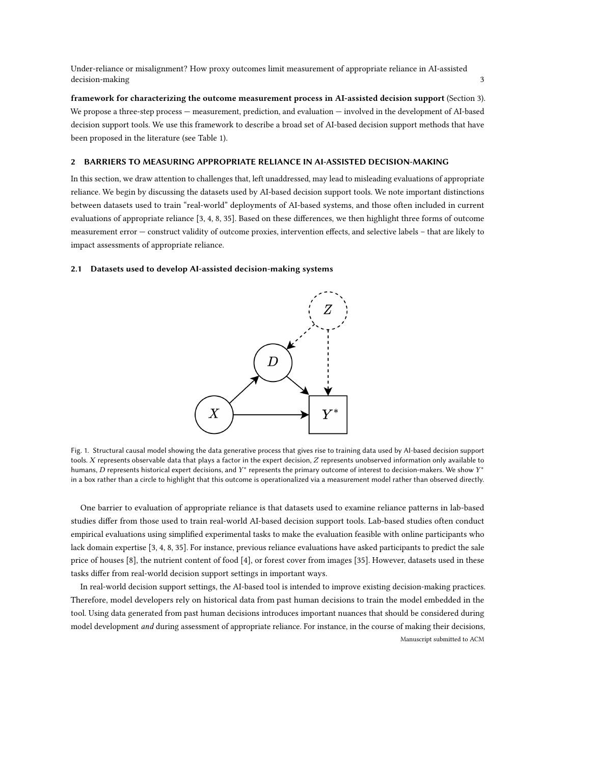Under-reliance or misalignment? How proxy outcomes limit measurement of appropriate reliance in AI-assisted decision-making 33

framework for characterizing the outcome measurement process in AI-assisted decision support (Section [3\)](#page-6-0). We propose a three-step process — measurement, prediction, and evaluation — involved in the development of AI-based decision support tools. We use this framework to describe a broad set of AI-based decision support methods that have been proposed in the literature (see Table [1\)](#page-8-0).

# <span id="page-2-0"></span>2 BARRIERS TO MEASURING APPROPRIATE RELIANCE IN AI-ASSISTED DECISION-MAKING

In this section, we draw attention to challenges that, left unaddressed, may lead to misleading evaluations of appropriate reliance. We begin by discussing the datasets used by AI-based decision support tools. We note important distinctions between datasets used to train "real-world" deployments of AI-based systems, and those often included in current evaluations of appropriate reliance [\[3,](#page-10-0) [4,](#page-10-3) [8,](#page-10-4) [35\]](#page-11-6). Based on these differences, we then highlight three forms of outcome measurement error — construct validity of outcome proxies, intervention effects, and selective labels – that are likely to impact assessments of appropriate reliance.

## <span id="page-2-2"></span><span id="page-2-1"></span>2.1 Datasets used to develop AI-assisted decision-making systems



Fig. 1. Structural causal model showing the data generative process that gives rise to training data used by AI-based decision support tools.  $X$  represents observable data that plays a factor in the expert decision,  $Z$  represents unobserved information only available to humans, D represents historical expert decisions, and  $Y^*$  represents the primary outcome of interest to decision-makers. We show  $Y^*$ in a box rather than a circle to highlight that this outcome is operationalized via a measurement model rather than observed directly.

One barrier to evaluation of appropriate reliance is that datasets used to examine reliance patterns in lab-based studies differ from those used to train real-world AI-based decision support tools. Lab-based studies often conduct empirical evaluations using simplified experimental tasks to make the evaluation feasible with online participants who lack domain expertise [\[3,](#page-10-0) [4,](#page-10-3) [8,](#page-10-4) [35\]](#page-11-6). For instance, previous reliance evaluations have asked participants to predict the sale price of houses [\[8\]](#page-10-4), the nutrient content of food [\[4\]](#page-10-3), or forest cover from images [\[35\]](#page-11-6). However, datasets used in these tasks differ from real-world decision support settings in important ways.

In real-world decision support settings, the AI-based tool is intended to improve existing decision-making practices. Therefore, model developers rely on historical data from past human decisions to train the model embedded in the tool. Using data generated from past human decisions introduces important nuances that should be considered during model development and during assessment of appropriate reliance. For instance, in the course of making their decisions, Manuscript submitted to ACM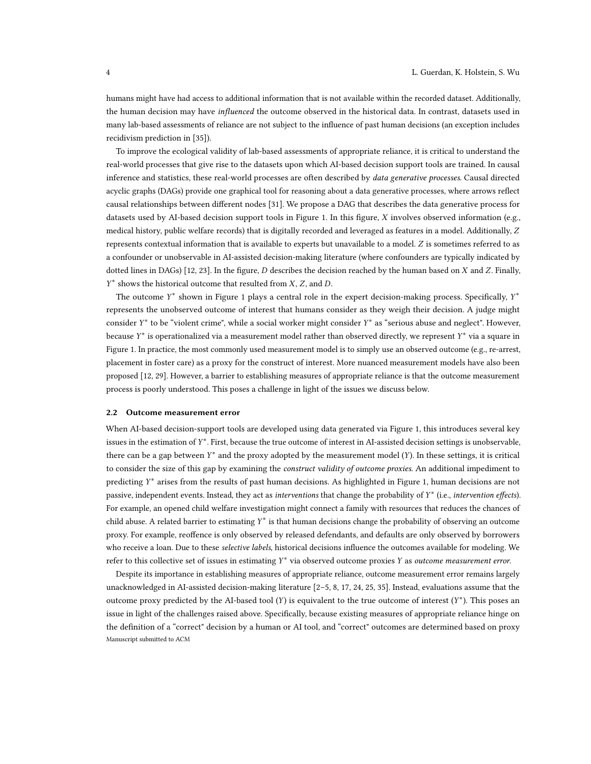humans might have had access to additional information that is not available within the recorded dataset. Additionally, the human decision may have *influenced* the outcome observed in the historical data. In contrast, datasets used in many lab-based assessments of reliance are not subject to the influence of past human decisions (an exception includes recidivism prediction in [\[35\]](#page-11-6)).

To improve the ecological validity of lab-based assessments of appropriate reliance, it is critical to understand the real-world processes that give rise to the datasets upon which AI-based decision support tools are trained. In causal inference and statistics, these real-world processes are often described by *data generative processes*. Causal directed acyclic graphs (DAGs) provide one graphical tool for reasoning about a data generative processes, where arrows reflect causal relationships between different nodes [\[31\]](#page-11-7). We propose a DAG that describes the data generative process for datasets used by AI-based decision support tools in Figure [1.](#page-2-1) In this figure,  $X$  involves observed information (e.g., medical history, public welfare records) that is digitally recorded and leveraged as features in a model. Additionally, Z represents contextual information that is available to experts but unavailable to a model. Z is sometimes referred to as a confounder or unobservable in AI-assisted decision-making literature (where confounders are typically indicated by dotted lines in DAGs) [\[12,](#page-10-12) [23\]](#page-10-6). In the figure, D describes the decision reached by the human based on  $X$  and  $Z$ . Finally,  $Y^*$  shows the historical outcome that resulted from  $X$ ,  $Z$ , and  $D$ .

The outcome  $Y^*$  shown in Figure [1](#page-2-1) plays a central role in the expert decision-making process. Specifically,  $Y^*$ represents the unobserved outcome of interest that humans consider as they weigh their decision. A judge might consider Y<sup>\*</sup> to be "violent crime", while a social worker might consider Y<sup>\*</sup> as "serious abuse and neglect". However, because  $Y^*$  is operationalized via a measurement model rather than observed directly, we represent  $Y^*$  via a square in Figure [1.](#page-2-1) In practice, the most commonly used measurement model is to simply use an observed outcome (e.g., re-arrest, placement in foster care) as a proxy for the construct of interest. More nuanced measurement models have also been proposed [\[12,](#page-10-12) [29\]](#page-11-4). However, a barrier to establishing measures of appropriate reliance is that the outcome measurement process is poorly understood. This poses a challenge in light of the issues we discuss below.

## 2.2 Outcome measurement error

When AI-based decision-support tools are developed using data generated via Figure [1,](#page-2-1) this introduces several key issues in the estimation of Y<sup>\*</sup>. First, because the true outcome of interest in AI-assisted decision settings is unobservable, there can be a gap between  $Y^*$  and the proxy adopted by the measurement model  $(Y)$ . In these settings, it is critical to consider the size of this gap by examining the *construct validity of outcome proxies*. An additional impediment to predicting  $Y^*$  arises from the results of past human decisions. As highlighted in Figure [1,](#page-2-1) human decisions are not passive, independent events. Instead, they act as interventions that change the probability of  $Y^*$  (i.e., intervention effects). For example, an opened child welfare investigation might connect a family with resources that reduces the chances of child abuse. A related barrier to estimating  $Y^*$  is that human decisions change the probability of observing an outcome proxy. For example, reoffence is only observed by released defendants, and defaults are only observed by borrowers who receive a loan. Due to these selective labels, historical decisions influence the outcomes available for modeling. We refer to this collective set of issues in estimating  $Y^*$  via observed outcome proxies  $Y$  as outcome measurement error.

Despite its importance in establishing measures of appropriate reliance, outcome measurement error remains largely unacknowledged in AI-assisted decision-making literature [\[2–](#page-10-14)[5,](#page-10-15) [8,](#page-10-4) [17,](#page-10-5) [24,](#page-10-1) [25,](#page-10-2) [35\]](#page-11-6). Instead, evaluations assume that the outcome proxy predicted by the AI-based tool  $(Y)$  is equivalent to the true outcome of interest  $(Y^*)$ . This poses an issue in light of the challenges raised above. Specifically, because existing measures of appropriate reliance hinge on the definition of a "correct" decision by a human or AI tool, and "correct" outcomes are determined based on proxy Manuscript submitted to ACM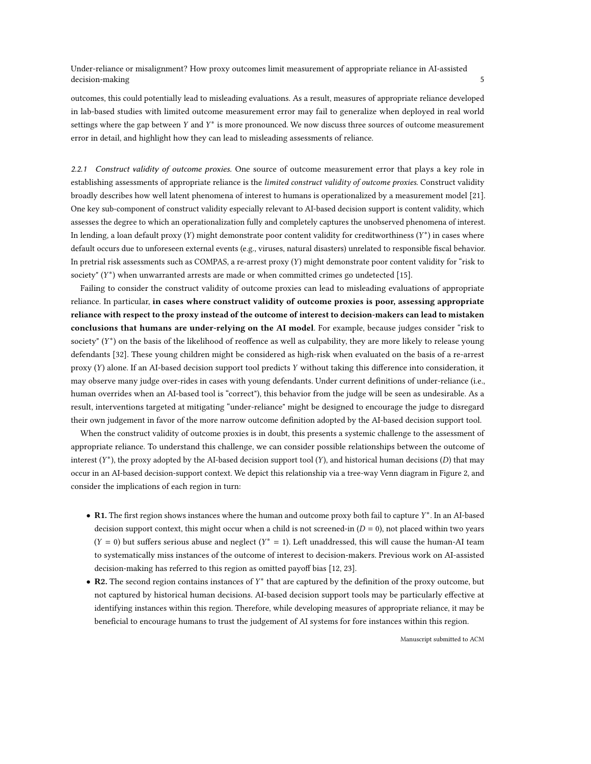Under-reliance or misalignment? How proxy outcomes limit measurement of appropriate reliance in AI-assisted decision-making 5 to 1 and 2 and 2 and 2 and 2 and 2 and 2 and 2 and 2 and 2 and 2 and 2 and 2 and 2 and 2 and 2 and 2 and 2 and 2 and 2 and 2 and 2 and 2 and 2 and 2 and 2 and 2 and 2 and 2 and 2 and 2 and 2 and 2 and 2 a

outcomes, this could potentially lead to misleading evaluations. As a result, measures of appropriate reliance developed in lab-based studies with limited outcome measurement error may fail to generalize when deployed in real world settings where the gap between Y and  $Y^*$  is more pronounced. We now discuss three sources of outcome measurement error in detail, and highlight how they can lead to misleading assessments of reliance.

2.2.1 Construct validity of outcome proxies. One source of outcome measurement error that plays a key role in establishing assessments of appropriate reliance is the limited construct validity of outcome proxies. Construct validity broadly describes how well latent phenomena of interest to humans is operationalized by a measurement model [\[21\]](#page-10-7). One key sub-component of construct validity especially relevant to AI-based decision support is content validity, which assesses the degree to which an operationalization fully and completely captures the unobserved phenomena of interest. In lending, a loan default proxy  $(Y)$  might demonstrate poor content validity for creditworthiness  $(Y^*)$  in cases where default occurs due to unforeseen external events (e.g., viruses, natural disasters) unrelated to responsible fiscal behavior. In pretrial risk assessments such as COMPAS, a re-arrest proxy  $(Y)$  might demonstrate poor content validity for "risk to society"  $(Y^*)$  when unwarranted arrests are made or when committed crimes go undetected [\[15\]](#page-10-8).

Failing to consider the construct validity of outcome proxies can lead to misleading evaluations of appropriate reliance. In particular, in cases where construct validity of outcome proxies is poor, assessing appropriate reliance with respect to the proxy instead of the outcome of interest to decision-makers can lead to mistaken conclusions that humans are under-relying on the AI model. For example, because judges consider "risk to society"  $(Y^*)$  on the basis of the likelihood of reoffence as well as culpability, they are more likely to release young defendants [\[32\]](#page-11-3). These young children might be considered as high-risk when evaluated on the basis of a re-arrest proxy  $(Y)$  alone. If an AI-based decision support tool predicts Y without taking this difference into consideration, it may observe many judge over-rides in cases with young defendants. Under current definitions of under-reliance (i.e., human overrides when an AI-based tool is "correct"), this behavior from the judge will be seen as undesirable. As a result, interventions targeted at mitigating "under-reliance" might be designed to encourage the judge to disregard their own judgement in favor of the more narrow outcome definition adopted by the AI-based decision support tool.

When the construct validity of outcome proxies is in doubt, this presents a systemic challenge to the assessment of appropriate reliance. To understand this challenge, we can consider possible relationships between the outcome of interest  $(Y^*)$ , the proxy adopted by the AI-based decision support tool  $(Y)$ , and historical human decisions  $(D)$  that may occur in an AI-based decision-support context. We depict this relationship via a tree-way Venn diagram in Figure [2,](#page-5-0) and consider the implications of each region in turn:

- R1. The first region shows instances where the human and outcome proxy both fail to capture  $Y^*$ . In an AI-based decision support context, this might occur when a child is not screened-in  $(D = 0)$ , not placed within two years  $(Y = 0)$  but suffers serious abuse and neglect  $(Y^* = 1)$ . Left unaddressed, this will cause the human-AI team to systematically miss instances of the outcome of interest to decision-makers. Previous work on AI-assisted decision-making has referred to this region as omitted payoff bias [\[12,](#page-10-12) [23\]](#page-10-6).
- R2. The second region contains instances of  $Y^*$  that are captured by the definition of the proxy outcome, but not captured by historical human decisions. AI-based decision support tools may be particularly effective at identifying instances within this region. Therefore, while developing measures of appropriate reliance, it may be beneficial to encourage humans to trust the judgement of AI systems for fore instances within this region.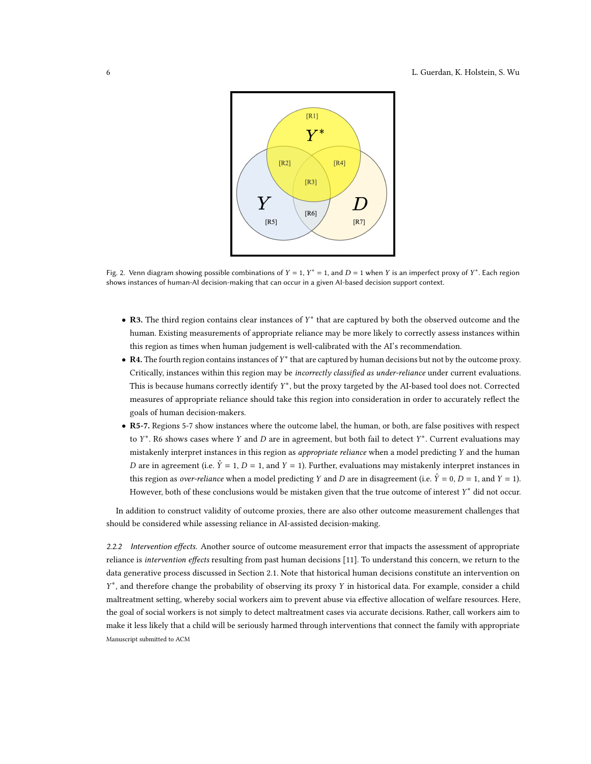<span id="page-5-0"></span>

Fig. 2. Venn diagram showing possible combinations of  $Y = 1$ ,  $Y^* = 1$ , and  $D = 1$  when Y is an imperfect proxy of  $Y^*$ . Each region shows instances of human-AI decision-making that can occur in a given AI-based decision support context.

- R3. The third region contains clear instances of  $Y^*$  that are captured by both the observed outcome and the human. Existing measurements of appropriate reliance may be more likely to correctly assess instances within this region as times when human judgement is well-calibrated with the AI's recommendation.
- R4. The fourth region contains instances of Y<sup>\*</sup> that are captured by human decisions but not by the outcome proxy. Critically, instances within this region may be incorrectly classified as under-reliance under current evaluations. This is because humans correctly identify  $Y^*$ , but the proxy targeted by the AI-based tool does not. Corrected measures of appropriate reliance should take this region into consideration in order to accurately reflect the goals of human decision-makers.
- R5-7. Regions 5-7 show instances where the outcome label, the human, or both, are false positives with respect to  $Y^*$ . R6 shows cases where Y and D are in agreement, but both fail to detect  $Y^*$ . Current evaluations may mistakenly interpret instances in this region as *appropriate reliance* when a model predicting Y and the human D are in agreement (i.e.  $\hat{Y} = 1$ ,  $D = 1$ , and  $Y = 1$ ). Further, evaluations may mistakenly interpret instances in this region as *over-reliance* when a model predicting Y and D are in disagreement (i.e.  $\hat{Y} = 0$ ,  $D = 1$ , and  $Y = 1$ ). However, both of these conclusions would be mistaken given that the true outcome of interest  $Y^*$  did not occur.

In addition to construct validity of outcome proxies, there are also other outcome measurement challenges that should be considered while assessing reliance in AI-assisted decision-making.

2.2.2 Intervention effects. Another source of outcome measurement error that impacts the assessment of appropriate reliance is *intervention effects* resulting from past human decisions [\[11\]](#page-10-11). To understand this concern, we return to the data generative process discussed in Section [2.1.](#page-2-2) Note that historical human decisions constitute an intervention on Y<sup>\*</sup>, and therefore change the probability of observing its proxy Y in historical data. For example, consider a child maltreatment setting, whereby social workers aim to prevent abuse via effective allocation of welfare resources. Here, the goal of social workers is not simply to detect maltreatment cases via accurate decisions. Rather, call workers aim to make it less likely that a child will be seriously harmed through interventions that connect the family with appropriate Manuscript submitted to ACM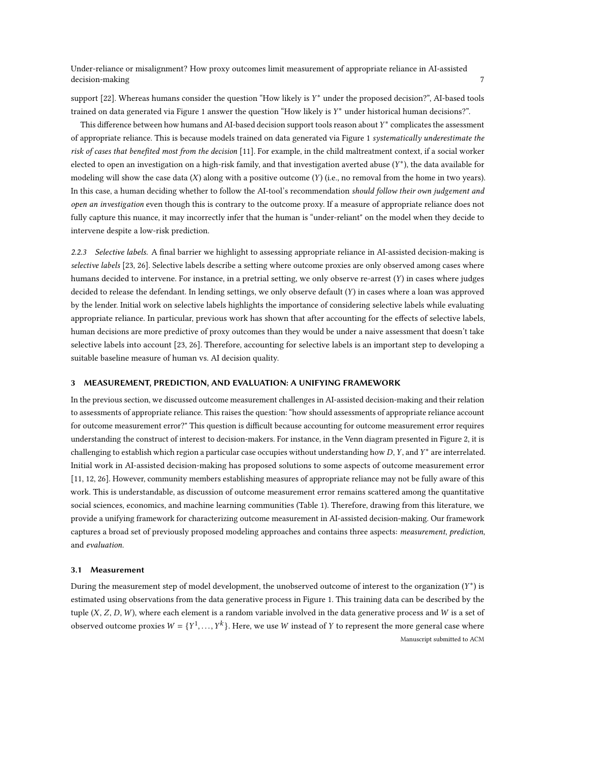Under-reliance or misalignment? How proxy outcomes limit measurement of appropriate reliance in AI-assisted decision-making  $7$ 

support [\[22\]](#page-10-9). Whereas humans consider the question "How likely is Y\* under the proposed decision?", AI-based tools trained on data generated via Figure [1](#page-2-1) answer the question "How likely is Y\* under historical human decisions?".

This difference between how humans and AI-based decision support tools reason about  $Y^*$  complicates the assessment of appropriate reliance. This is because models trained on data generated via Figure [1](#page-2-1) systematically underestimate the risk of cases that benefited most from the decision [\[11\]](#page-10-11). For example, in the child maltreatment context, if a social worker elected to open an investigation on a high-risk family, and that investigation averted abuse  $(Y^*)$ , the data available for modeling will show the case data  $(X)$  along with a positive outcome  $(Y)$  (i.e., no removal from the home in two years). In this case, a human deciding whether to follow the AI-tool's recommendation should follow their own judgement and open an investigation even though this is contrary to the outcome proxy. If a measure of appropriate reliance does not fully capture this nuance, it may incorrectly infer that the human is "under-reliant" on the model when they decide to intervene despite a low-risk prediction.

2.2.3 Selective labels. A final barrier we highlight to assessing appropriate reliance in AI-assisted decision-making is selective labels [\[23,](#page-10-6) [26\]](#page-10-13). Selective labels describe a setting where outcome proxies are only observed among cases where humans decided to intervene. For instance, in a pretrial setting, we only observe re-arrest  $(Y)$  in cases where judges decided to release the defendant. In lending settings, we only observe default  $(Y)$  in cases where a loan was approved by the lender. Initial work on selective labels highlights the importance of considering selective labels while evaluating appropriate reliance. In particular, previous work has shown that after accounting for the effects of selective labels, human decisions are more predictive of proxy outcomes than they would be under a naive assessment that doesn't take selective labels into account [\[23,](#page-10-6) [26\]](#page-10-13). Therefore, accounting for selective labels is an important step to developing a suitable baseline measure of human vs. AI decision quality.

# <span id="page-6-0"></span>3 MEASUREMENT, PREDICTION, AND EVALUATION: A UNIFYING FRAMEWORK

In the previous section, we discussed outcome measurement challenges in AI-assisted decision-making and their relation to assessments of appropriate reliance. This raises the question: "how should assessments of appropriate reliance account for outcome measurement error?" This question is difficult because accounting for outcome measurement error requires understanding the construct of interest to decision-makers. For instance, in the Venn diagram presented in Figure [2,](#page-5-0) it is challenging to establish which region a particular case occupies without understanding how  $D$ ,  $Y$ , and  $Y^*$  are interrelated. Initial work in AI-assisted decision-making has proposed solutions to some aspects of outcome measurement error [\[11,](#page-10-11) [12,](#page-10-12) [26\]](#page-10-13). However, community members establishing measures of appropriate reliance may not be fully aware of this work. This is understandable, as discussion of outcome measurement error remains scattered among the quantitative social sciences, economics, and machine learning communities (Table [1\)](#page-8-0). Therefore, drawing from this literature, we provide a unifying framework for characterizing outcome measurement in AI-assisted decision-making. Our framework captures a broad set of previously proposed modeling approaches and contains three aspects: measurement, prediction, and evaluation.

## 3.1 Measurement

During the measurement step of model development, the unobserved outcome of interest to the organization  $(Y^*)$  is estimated using observations from the data generative process in Figure [1.](#page-2-1) This training data can be described by the tuple  $(X, Z, D, W)$ , where each element is a random variable involved in the data generative process and W is a set of observed outcome proxies  $W = \{Y^1, ..., Y^k\}$ . Here, we use W instead of Y to represent the more general case where Manuscript submitted to ACM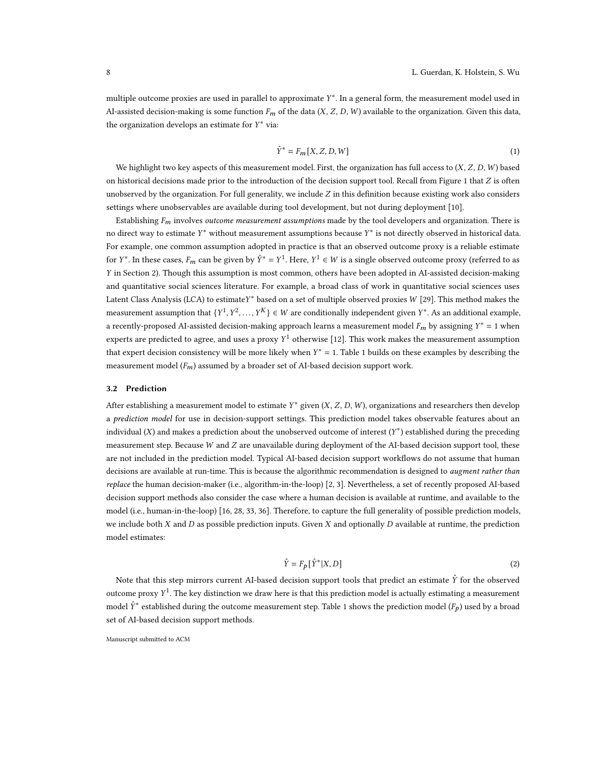multiple outcome proxies are used in parallel to approximate Y\*. In a general form, the measurement model used in AI-assisted decision-making is some function  $F_m$  of the data  $(X, Z, D, W)$  available to the organization. Given this data, the organization develops an estimate for  $Y^*$  via:

$$
\hat{Y}^* = F_m[X, Z, D, W] \tag{1}
$$

We highlight two key aspects of this measurement model. First, the organization has full access to  $(X, Z, D, W)$  based on historical decisions made prior to the introduction of the decision support tool. Recall from Figure [1](#page-2-1) that  $Z$  is often unobserved by the organization. For full generality, we include  $Z$  in this definition because existing work also considers settings where unobservables are available during tool development, but not during deployment [\[10\]](#page-10-16).

Establishing  $F_m$  involves *outcome measurement assumptions* made by the tool developers and organization. There is no direct way to estimate  $Y^*$  without measurement assumptions because  $Y^*$  is not directly observed in historical data. For example, one common assumption adopted in practice is that an observed outcome proxy is a reliable estimate for  $Y^*$ . In these cases,  $F_m$  can be given by  $\hat{Y}^* = Y^1$ . Here,  $Y^1 \in W$  is a single observed outcome proxy (referred to as in Section [2\)](#page-2-0). Though this assumption is most common, others have been adopted in AI-assisted decision-making and quantitative social sciences literature. For example, a broad class of work in quantitative social sciences uses Latent Class Analysis (LCA) to estimate $Y^*$  based on a set of multiple observed proxies  $W$  [\[29\]](#page-11-4). This method makes the measurement assumption that  $\{Y^1, Y^2, ..., Y^K\} \in W$  are conditionally independent given  $Y^*$ . As an additional example, a recently-proposed AI-assisted decision-making approach learns a measurement model  $F_m$  by assigning  $Y^* = 1$  when experts are predicted to agree, and uses a proxy  $Y^1$  otherwise [\[12\]](#page-10-12). This work makes the measurement assumption that expert decision consistency will be more likely when  $Y^* = 1$  $Y^* = 1$ . Table 1 builds on these examples by describing the measurement model  $(F_m)$  assumed by a broader set of AI-based decision support work.

#### 3.2 Prediction

After establishing a measurement model to estimate  $Y^*$  given  $(X, Z, D, W)$ , organizations and researchers then develop a prediction model for use in decision-support settings. This prediction model takes observable features about an individual  $(X)$  and makes a prediction about the unobserved outcome of interest  $(Y^*)$  established during the preceding measurement step. Because  $W$  and  $Z$  are unavailable during deployment of the AI-based decision support tool, these are not included in the prediction model. Typical AI-based decision support workflows do not assume that human decisions are available at run-time. This is because the algorithmic recommendation is designed to *augment rather than* replace the human decision-maker (i.e., algorithm-in-the-loop) [\[2,](#page-10-14) [3\]](#page-10-0). Nevertheless, a set of recently proposed AI-based decision support methods also consider the case where a human decision is available at runtime, and available to the model (i.e., human-in-the-loop) [\[16,](#page-10-17) [28,](#page-11-8) [33,](#page-11-1) [36\]](#page-11-9). Therefore, to capture the full generality of possible prediction models, we include both  $X$  and  $D$  as possible prediction inputs. Given  $X$  and optionally  $D$  available at runtime, the prediction model estimates:

$$
\hat{Y} = F_{p} \left[ \hat{Y}^{*} | X, D \right] \tag{2}
$$

Note that this step mirrors current AI-based decision support tools that predict an estimate  $\hat{Y}$  for the observed outcome proxy  $Y^1$ . The key distinction we draw here is that this prediction model is actually estimating a measurement model  $\hat{Y}^*$  established during the outcome measurement step. Table [1](#page-8-0) shows the prediction model ( $F_p$ ) used by a broad set of AI-based decision support methods.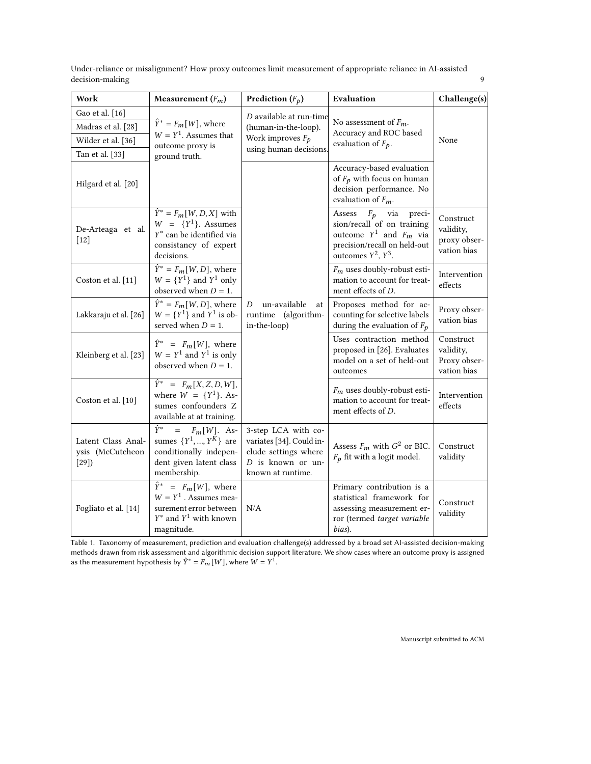| Under-reliance or misalignment? How proxy outcomes limit measurement of appropriate reliance in AI-assisted |  |
|-------------------------------------------------------------------------------------------------------------|--|
| decision-making                                                                                             |  |

<span id="page-8-0"></span>

| Work                                                                           | Measurement $(F_m)$                                                                                                               | <b>Prediction</b> $(F_p)$                                                                                         | Evaluation                                                                                                                                          | Challenge(s)                                          |
|--------------------------------------------------------------------------------|-----------------------------------------------------------------------------------------------------------------------------------|-------------------------------------------------------------------------------------------------------------------|-----------------------------------------------------------------------------------------------------------------------------------------------------|-------------------------------------------------------|
| Gao et al. [16]<br>Madras et al. [28]<br>Wilder et al. [36]<br>Tan et al. [33] | $\hat{Y}^* = F_m[W]$ , where<br>$W = Y1$ . Assumes that<br>outcome proxy is<br>ground truth.                                      | D available at run-time<br>(human-in-the-loop).<br>Work improves $F_p$<br>using human decisions                   | No assessment of $F_m$ .<br>Accuracy and ROC based<br>evaluation of $F_p$ .                                                                         | None                                                  |
| Hilgard et al. [20]                                                            |                                                                                                                                   |                                                                                                                   | Accuracy-based evaluation<br>of $F_p$ with focus on human<br>decision performance. No<br>evaluation of $F_m$ .                                      |                                                       |
| De-Arteaga et al.<br>$\lceil 12 \rceil$                                        | $\hat{Y}^* = F_m[W, D, X]$ with<br>$W = \{Y^1\}$ . Assumes<br>$Y^*$ can be identified via<br>consistancy of expert<br>decisions.  |                                                                                                                   | Assess $F_p$ via<br>preci-<br>sion/recall of on training<br>outcome $Y^1$ and $F_m$ via<br>precision/recall on held-out<br>outcomes $Y^2$ , $Y^3$ . | Construct<br>validity,<br>proxy obser-<br>vation bias |
| Coston et al. [11]                                                             | $\hat{Y}^* = F_m[W, D]$ , where<br>$W = \{Y^1\}$ and $Y^1$ only<br>observed when $D = 1$ .                                        |                                                                                                                   | $F_m$ uses doubly-robust esti-<br>mation to account for treat-<br>ment effects of D.                                                                | Intervention<br>effects                               |
| Lakkaraju et al. [26]                                                          | $\hat{Y}^* = F_m[W, D]$ , where<br>$W = \{Y^1\}$ and $Y^1$ is ob-<br>served when $D = 1$ .                                        | un-available<br>D<br>at<br>runtime (algorithm-<br>in-the-loop)                                                    | Proposes method for ac-<br>counting for selective labels<br>during the evaluation of $F_p$                                                          | Proxy obser-<br>vation bias                           |
| Kleinberg et al. [23]                                                          | $\hat{Y}^* = F_m[W]$ , where<br>$W = Y^1$ and $Y^1$ is only<br>observed when $D = 1$ .                                            |                                                                                                                   | Uses contraction method<br>proposed in [26]. Evaluates<br>model on a set of held-out<br>outcomes                                                    | Construct<br>validity,<br>Proxy obser-<br>vation bias |
| Coston et al. [10]                                                             | $\hat{Y}^* = F_m[X, Z, D, W],$<br>where $W = \{Y^1\}$ . As-<br>sumes confounders Z<br>available at at training.                   |                                                                                                                   | $F_m$ uses doubly-robust esti-<br>mation to account for treat-<br>ment effects of D.                                                                | Intervention<br>effects                               |
| Latent Class Anal-<br>ysis (McCutcheon<br>[29]                                 | $\hat{Y}^*$<br>$= F_m[W]$ . As-<br>sumes $\{Y^1, , Y^K\}$ are<br>conditionally indepen-<br>dent given latent class<br>membership. | 3-step LCA with co-<br>variates [34]. Could in-<br>clude settings where<br>D is known or un-<br>known at runtime. | Assess $F_m$ with $G^2$ or BIC.<br>$F_p$ fit with a logit model.                                                                                    | Construct<br>validity                                 |
| Fogliato et al. [14]                                                           | $\hat{Y}^* = F_m[W]$ , where<br>$W = Y^1$ . Assumes mea-<br>surement error between<br>$Y^*$ and $Y^1$ with known<br>magnitude.    | N/A                                                                                                               | Primary contribution is a<br>statistical framework for<br>assessing measurement er-<br>ror (termed target variable<br>bias).                        | Construct<br>validity                                 |

Table 1. Taxonomy of measurement, prediction and evaluation challenge(s) addressed by a broad set AI-assisted decision-making methods drawn from risk assessment and algorithmic decision support literature. We show cases where an outcome proxy is assigned as the measurement hypothesis by  $\hat{Y}^* = F_{m}[W]$ , where  $W = Y^1$ .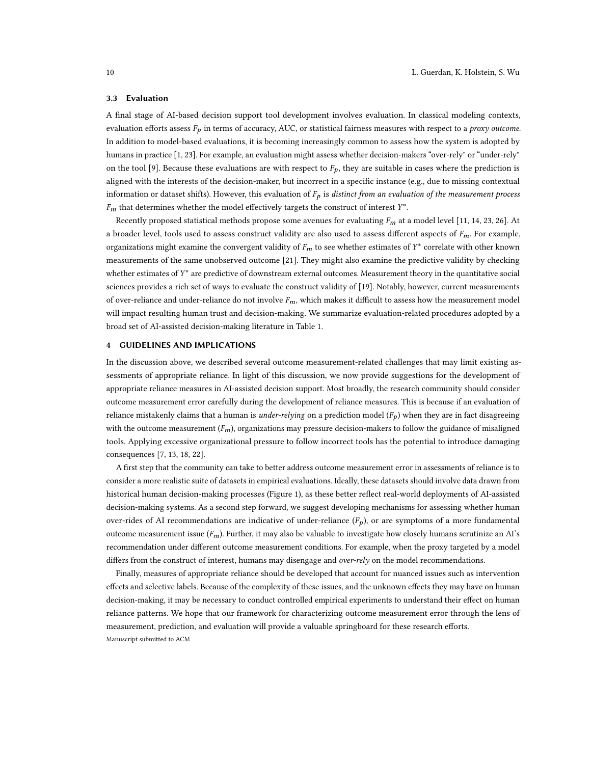#### 3.3 Evaluation

A final stage of AI-based decision support tool development involves evaluation. In classical modeling contexts, evaluation efforts assess  $F_p$  in terms of accuracy, AUC, or statistical fairness measures with respect to a proxy outcome. In addition to model-based evaluations, it is becoming increasingly common to assess how the system is adopted by humans in practice [\[1,](#page-10-20) [23\]](#page-10-6). For example, an evaluation might assess whether decision-makers "over-rely" or "under-rely" on the tool [\[9\]](#page-10-21). Because these evaluations are with respect to  $F_p$ , they are suitable in cases where the prediction is aligned with the interests of the decision-maker, but incorrect in a specific instance (e.g., due to missing contextual information or dataset shifts). However, this evaluation of  $F_p$  is distinct from an evaluation of the measurement process  $F_m$  that determines whether the model effectively targets the construct of interest  $Y^*$ .

Recently proposed statistical methods propose some avenues for evaluating  $F_m$  at a model level [\[11,](#page-10-11) [14,](#page-10-19) [23,](#page-10-6) [26\]](#page-10-13). At a broader level, tools used to assess construct validity are also used to assess different aspects of  $F_m$ . For example, organizations might examine the convergent validity of  $F_m$  to see whether estimates of  $Y^*$  correlate with other known measurements of the same unobserved outcome [\[21\]](#page-10-7). They might also examine the predictive validity by checking whether estimates of  $Y^*$  are predictive of downstream external outcomes. Measurement theory in the quantitative social sciences provides a rich set of ways to evaluate the construct validity of [\[19\]](#page-10-22). Notably, however, current measurements of over-reliance and under-reliance do not involve  $F_m$ , which makes it difficult to assess how the measurement model will impact resulting human trust and decision-making. We summarize evaluation-related procedures adopted by a broad set of AI-assisted decision-making literature in Table [1.](#page-8-0)

### 4 GUIDELINES AND IMPLICATIONS

In the discussion above, we described several outcome measurement-related challenges that may limit existing assessments of appropriate reliance. In light of this discussion, we now provide suggestions for the development of appropriate reliance measures in AI-assisted decision support. Most broadly, the research community should consider outcome measurement error carefully during the development of reliance measures. This is because if an evaluation of reliance mistakenly claims that a human is *under-relying* on a prediction model  $(F_p)$  when they are in fact disagreeing with the outcome measurement  $(F_m)$ , organizations may pressure decision-makers to follow the guidance of misaligned tools. Applying excessive organizational pressure to follow incorrect tools has the potential to introduce damaging consequences [\[7,](#page-10-23) [13,](#page-10-24) [18,](#page-10-25) [22\]](#page-10-9).

A first step that the community can take to better address outcome measurement error in assessments of reliance is to consider a more realistic suite of datasets in empirical evaluations. Ideally, these datasets should involve data drawn from historical human decision-making processes (Figure 1), as these better reflect real-world deployments of AI-assisted decision-making systems. As a second step forward, we suggest developing mechanisms for assessing whether human over-rides of AI recommendations are indicative of under-reliance  $(F_p)$ , or are symptoms of a more fundamental outcome measurement issue  $(F_m)$ . Further, it may also be valuable to investigate how closely humans scrutinize an AI's recommendation under different outcome measurement conditions. For example, when the proxy targeted by a model differs from the construct of interest, humans may disengage and over-rely on the model recommendations.

Finally, measures of appropriate reliance should be developed that account for nuanced issues such as intervention effects and selective labels. Because of the complexity of these issues, and the unknown effects they may have on human decision-making, it may be necessary to conduct controlled empirical experiments to understand their effect on human reliance patterns. We hope that our framework for characterizing outcome measurement error through the lens of measurement, prediction, and evaluation will provide a valuable springboard for these research efforts. Manuscript submitted to ACM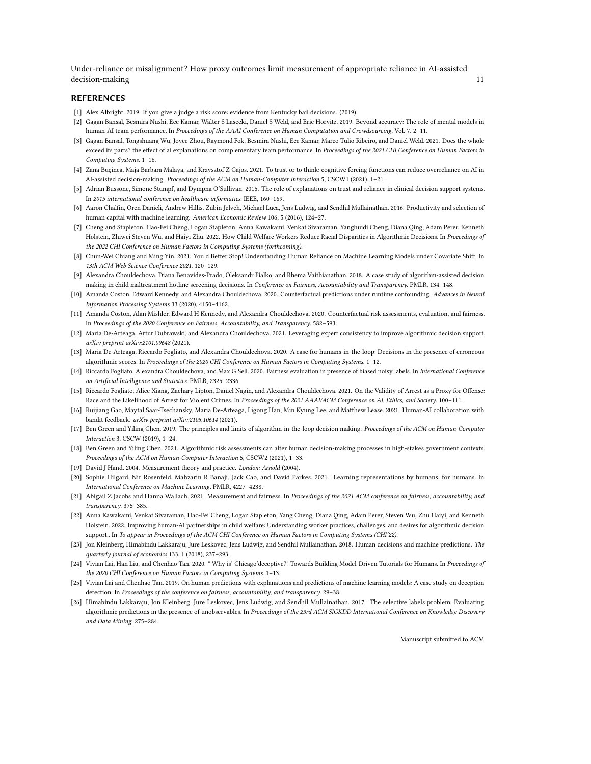Under-reliance or misalignment? How proxy outcomes limit measurement of appropriate reliance in AI-assisted decision-making 11

## REFERENCES

- <span id="page-10-20"></span>[1] Alex Albright. 2019. If you give a judge a risk score: evidence from Kentucky bail decisions. (2019).
- <span id="page-10-14"></span>[2] Gagan Bansal, Besmira Nushi, Ece Kamar, Walter S Lasecki, Daniel S Weld, and Eric Horvitz. 2019. Beyond accuracy: The role of mental models in human-AI team performance. In Proceedings of the AAAI Conference on Human Computation and Crowdsourcing, Vol. 7. 2–11.
- <span id="page-10-0"></span>[3] Gagan Bansal, Tongshuang Wu, Joyce Zhou, Raymond Fok, Besmira Nushi, Ece Kamar, Marco Tulio Ribeiro, and Daniel Weld. 2021. Does the whole exceed its parts? the effect of ai explanations on complementary team performance. In Proceedings of the 2021 CHI Conference on Human Factors in Computing Systems. 1–16.
- <span id="page-10-3"></span>[4] Zana Buçinca, Maja Barbara Malaya, and Krzysztof Z Gajos. 2021. To trust or to think: cognitive forcing functions can reduce overreliance on AI in AI-assisted decision-making. Proceedings of the ACM on Human-Computer Interaction 5, CSCW1 (2021), 1–21.
- <span id="page-10-15"></span>[5] Adrian Bussone, Simone Stumpf, and Dympna O'Sullivan. 2015. The role of explanations on trust and reliance in clinical decision support systems. In 2015 international conference on healthcare informatics. IEEE, 160–169.
- <span id="page-10-10"></span>[6] Aaron Chalfin, Oren Danieli, Andrew Hillis, Zubin Jelveh, Michael Luca, Jens Ludwig, and Sendhil Mullainathan. 2016. Productivity and selection of human capital with machine learning. American Economic Review 106, 5 (2016), 124–27.
- <span id="page-10-23"></span>[7] Cheng and Stapleton, Hao-Fei Cheng, Logan Stapleton, Anna Kawakami, Venkat Sivaraman, Yanghuidi Cheng, Diana Qing, Adam Perer, Kenneth Holstein, Zhiwei Steven Wu, and Haiyi Zhu. 2022. How Child Welfare Workers Reduce Racial Disparities in Algorithmic Decisions. In Proceedings of the 2022 CHI Conference on Human Factors in Computing Systems (forthcoming).
- <span id="page-10-4"></span>[8] Chun-Wei Chiang and Ming Yin. 2021. You'd Better Stop! Understanding Human Reliance on Machine Learning Models under Covariate Shift. In 13th ACM Web Science Conference 2021. 120–129.
- <span id="page-10-21"></span>[9] Alexandra Chouldechova, Diana Benavides-Prado, Oleksandr Fialko, and Rhema Vaithianathan. 2018. A case study of algorithm-assisted decision making in child maltreatment hotline screening decisions. In Conference on Fairness, Accountability and Transparency. PMLR, 134–148.
- <span id="page-10-16"></span>[10] Amanda Coston, Edward Kennedy, and Alexandra Chouldechova. 2020. Counterfactual predictions under runtime confounding. Advances in Neural Information Processing Systems 33 (2020), 4150–4162.
- <span id="page-10-11"></span>[11] Amanda Coston, Alan Mishler, Edward H Kennedy, and Alexandra Chouldechova. 2020. Counterfactual risk assessments, evaluation, and fairness. In Proceedings of the 2020 Conference on Fairness, Accountability, and Transparency. 582–593.
- <span id="page-10-12"></span>[12] Maria De-Arteaga, Artur Dubrawski, and Alexandra Chouldechova. 2021. Leveraging expert consistency to improve algorithmic decision support. arXiv preprint arXiv:2101.09648 (2021).
- <span id="page-10-24"></span>[13] Maria De-Arteaga, Riccardo Fogliato, and Alexandra Chouldechova. 2020. A case for humans-in-the-loop: Decisions in the presence of erroneous algorithmic scores. In Proceedings of the 2020 CHI Conference on Human Factors in Computing Systems. 1–12.
- <span id="page-10-19"></span>[14] Riccardo Fogliato, Alexandra Chouldechova, and Max G'Sell. 2020. Fairness evaluation in presence of biased noisy labels. In International Conference on Artificial Intelligence and Statistics. PMLR, 2325–2336.
- <span id="page-10-8"></span>[15] Riccardo Fogliato, Alice Xiang, Zachary Lipton, Daniel Nagin, and Alexandra Chouldechova. 2021. On the Validity of Arrest as a Proxy for Offense: Race and the Likelihood of Arrest for Violent Crimes. In Proceedings of the 2021 AAAI/ACM Conference on AI, Ethics, and Society. 100-111.
- <span id="page-10-17"></span>[16] Ruijiang Gao, Maytal Saar-Tsechansky, Maria De-Arteaga, Ligong Han, Min Kyung Lee, and Matthew Lease. 2021. Human-AI collaboration with bandit feedback. arXiv preprint arXiv:2105.10614 (2021).
- <span id="page-10-5"></span>[17] Ben Green and Yiling Chen. 2019. The principles and limits of algorithm-in-the-loop decision making. Proceedings of the ACM on Human-Computer Interaction 3, CSCW (2019), 1–24.
- <span id="page-10-25"></span>[18] Ben Green and Yiling Chen. 2021. Algorithmic risk assessments can alter human decision-making processes in high-stakes government contexts. Proceedings of the ACM on Human-Computer Interaction 5, CSCW2 (2021), 1–33.
- <span id="page-10-22"></span>[19] David J Hand. 2004. Measurement theory and practice. London: Arnold (2004).
- <span id="page-10-18"></span>[20] Sophie Hilgard, Nir Rosenfeld, Mahzarin R Banaji, Jack Cao, and David Parkes. 2021. Learning representations by humans, for humans. In International Conference on Machine Learning. PMLR, 4227–4238.
- <span id="page-10-7"></span>[21] Abigail Z Jacobs and Hanna Wallach. 2021. Measurement and fairness. In Proceedings of the 2021 ACM conference on fairness, accountability, and transparency. 375–385.
- <span id="page-10-9"></span>[22] Anna Kawakami, Venkat Sivaraman, Hao-Fei Cheng, Logan Stapleton, Yang Cheng, Diana Qing, Adam Perer, Steven Wu, Zhu Haiyi, and Kenneth Holstein. 2022. Improving human-AI partnerships in child welfare: Understanding worker practices, challenges, and desires for algorithmic decision support.. In To appear in Proceedings of the ACM CHI Conference on Human Factors in Computing Systems (CHI'22).
- <span id="page-10-6"></span>[23] Jon Kleinberg, Himabindu Lakkaraju, Jure Leskovec, Jens Ludwig, and Sendhil Mullainathan. 2018. Human decisions and machine predictions. The quarterly journal of economics 133, 1 (2018), 237–293.
- <span id="page-10-1"></span>[24] Vivian Lai, Han Liu, and Chenhao Tan. 2020. "Why is' Chicago'deceptive?" Towards Building Model-Driven Tutorials for Humans. In Proceedings of the 2020 CHI Conference on Human Factors in Computing Systems. 1–13.
- <span id="page-10-2"></span>[25] Vivian Lai and Chenhao Tan. 2019. On human predictions with explanations and predictions of machine learning models: A case study on deception detection. In Proceedings of the conference on fairness, accountability, and transparency. 29–38.
- <span id="page-10-13"></span>[26] Himabindu Lakkaraju, Jon Kleinberg, Jure Leskovec, Jens Ludwig, and Sendhil Mullainathan. 2017. The selective labels problem: Evaluating algorithmic predictions in the presence of unobservables. In Proceedings of the 23rd ACM SIGKDD International Conference on Knowledge Discovery and Data Mining. 275–284.